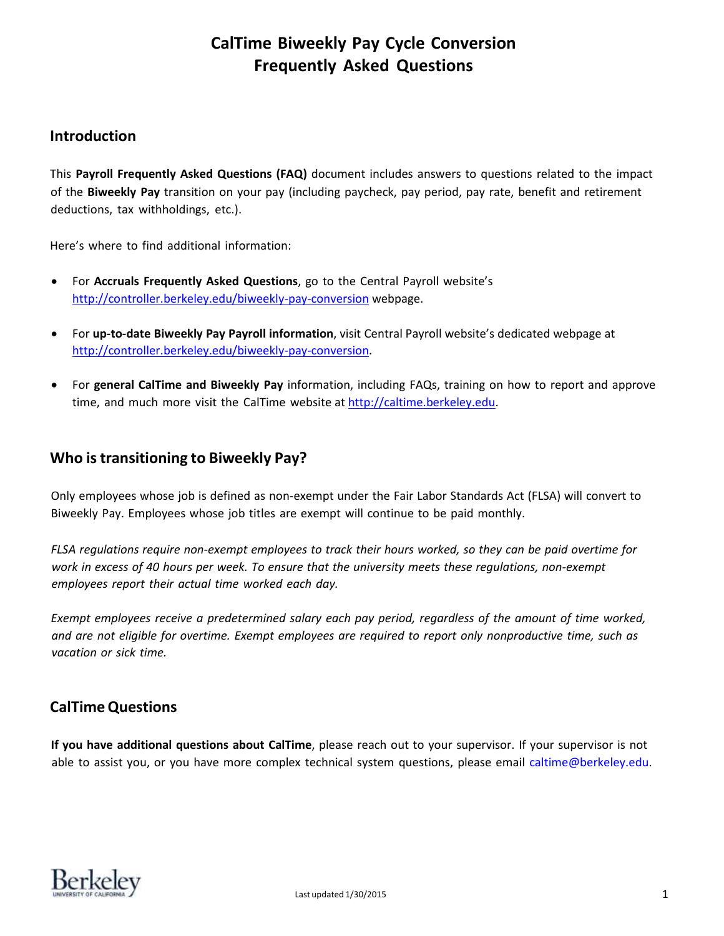## **Introduction**

This **Payroll Frequently Asked Questions (FAQ)** document includes answers to questions related to the impact of the **Biweekly Pay** transition on your pay (including paycheck, pay period, pay rate, benefit and retirement deductions, tax withholdings, etc.).

Here's where to find additional information:

- For **Accruals Frequently Asked Questions**, go to the Central Payroll website's <http://controller.berkeley.edu/biweekly-pay-conversion> webpage.
- For **up‐to-date Biweekly Pay Payroll information**, visit Central Payroll website's dedicated webpage at [http://controller.berkeley.edu/biweekly-pay-conversion.](http://controller.berkeley.edu/biweekly-pay-conversion)
- For **general CalTime and Biweekly Pay** information, including FAQs, training on how to report and approve time, and much more visit the CalTime website at [http://caltime.berkeley.edu.](http://caltime.berkeley.edu/)

## **Who istransitioning to Biweekly Pay?**

Only employees whose job is defined as non-exempt under the Fair Labor Standards Act (FLSA) will convert to Biweekly Pay. Employees whose job titles are exempt will continue to be paid monthly.

FLSA regulations require non-exempt employees to track their hours worked, so they can be paid overtime for *work in excess of 40 hours per week. To ensure that the university meets these regulations, non-exempt employees report their actual time worked each day.*

*Exempt employees receive a predetermined salary each pay period, regardless of the amount of time worked,* and are not eligible for overtime. Exempt employees are required to report only nonproductive time, such as *vacation or sick time.*

# **CalTimeQuestions**

**If you have additional questions about CalTime**, please reach out to your supervisor. If your supervisor is not able to assist you, or you have more complex technical system questions, please email [caltime@berkeley.edu.](mailto:caltime@berkeley.edu)

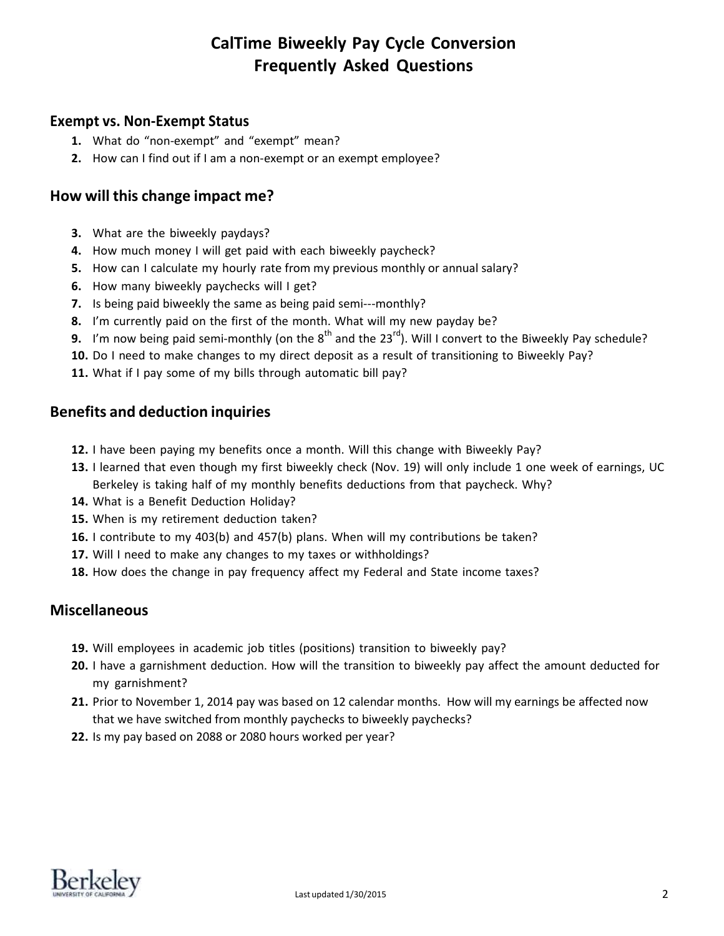## **Exempt vs. Non-Exempt Status**

- **1.** What do "non-exempt" and "exempt" mean?
- **2.** How can I find out if I am a non-exempt or an exempt employee?

## **How will this change impact me?**

- **3.** What are the biweekly paydays?
- **4.** How much money I will get paid with each biweekly paycheck?
- **5.** How can I calculate my hourly rate from my previous monthly or annual salary?
- **6.** How many biweekly paychecks will I get?
- **7.** Is being paid biweekly the same as being paid semi---monthly?
- **8.** I'm currently paid on the first of the month. What will my new payday be?
- **9.** I'm now being paid semi-monthly (on the 8<sup>th</sup> and the 23<sup>rd</sup>). Will I convert to the Biweekly Pay schedule?
- **10.** Do I need to make changes to my direct deposit as a result of transitioning to Biweekly Pay?
- **11.** What if I pay some of my bills through automatic bill pay?

## **Benefits and deduction inquiries**

- **12.** I have been paying my benefits once a month. Will this change with Biweekly Pay?
- **13.** I learned that even though my first biweekly check (Nov. 19) will only include 1 one week of earnings, UC Berkeley is taking half of my monthly benefits deductions from that paycheck. Why?
- **14.** What is a Benefit Deduction Holiday?
- **15.** When is my retirement deduction taken?
- **16.** I contribute to my 403(b) and 457(b) plans. When will my contributions be taken?
- **17.** Will I need to make any changes to my taxes or withholdings?
- **18.** How does the change in pay frequency affect my Federal and State income taxes?

## **Miscellaneous**

- **19.** Will employees in academic job titles (positions) transition to biweekly pay?
- **20.** I have a garnishment deduction. How will the transition to biweekly pay affect the amount deducted for my garnishment?
- **21.** Prior to November 1, 2014 pay was based on 12 calendar months. How will my earnings be affected now that we have switched from monthly paychecks to biweekly paychecks?
- **22.** Is my pay based on 2088 or 2080 hours worked per year?

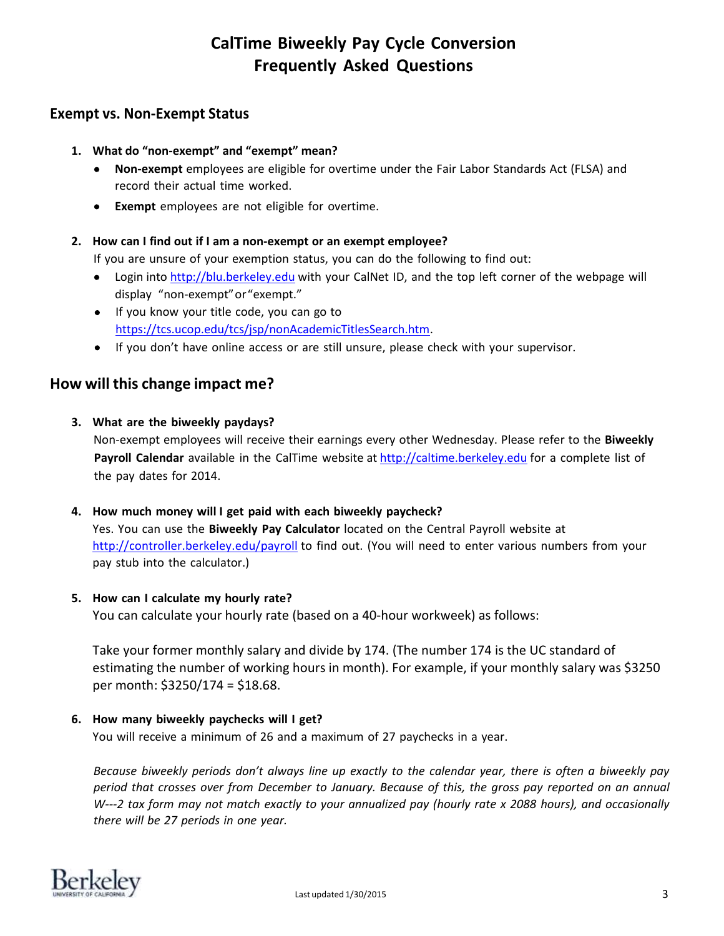## **Exempt vs. Non-Exempt Status**

- **1. What do "non-exempt" and "exempt" mean?**
	- **Non-exempt** employees are eligible for overtime under the Fair Labor Standards Act (FLSA) and record their actual time worked.
	- **Exempt** employees are not eligible for overtime.

## **2. How can I find out if I am a non-exempt or an exempt employee?**

If you are unsure of your exemption status, you can do the following to find out:

- Login into [http://blu.berkeley.edu](http://blu.berkeley.edu/) with your CalNet ID, and the top left corner of the webpage will display "non-exempt" or "exempt."
- If you know your title code, you can go to https://tcs.ucop.edu/tcs/jsp/nonAcademicTitlesSearch.htm.
- If you don't have online access or are still unsure, please check with your supervisor.

# **How will this change impact me?**

## **3. What are the biweekly paydays?**

Non-exempt employees will receive their earnings every other Wednesday. Please refer to the **Biweekly Payroll Calendar** available in the CalTime website at [http://caltime.berkeley.edu](http://caltime.berkeley.edu/) for a complete list of the pay dates for 2014.

### **4. How much money will I get paid with each biweekly paycheck?**

Yes. You can use the **Biweekly Pay Calculator** located on the Central Payroll website at [http://controller.berkeley.edu/payroll](http://controller.berkeley.edu/payroll/) to find out. (You will need to enter various numbers from your pay stub into the calculator.)

### **5. How can I calculate my hourly rate?**

You can calculate your hourly rate (based on a 40-hour workweek) as follows:

Take your former monthly salary and divide by 174. (The number 174 is the UC standard of estimating the number of working hours in month). For example, if your monthly salary was \$3250 per month: \$3250/174 = \$18.68.

## **6. How many biweekly paychecks will I get?**

You will receive a minimum of 26 and a maximum of 27 paychecks in a year.

Because biweekly periods don't always line up exactly to the calendar year, there is often a biweekly pay period that crosses over from December to January. Because of this, the gross pay reported on an annual W---2 tax form may not match exactly to your annualized pay (hourly rate x 2088 hours), and occasionally *there will be 27 periods in one year.*

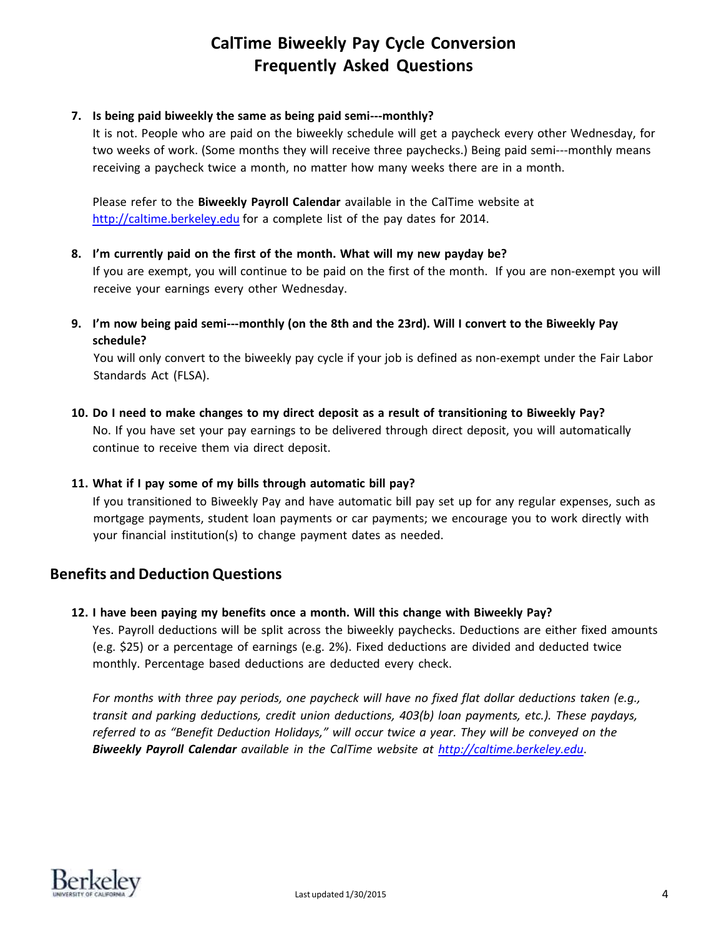#### **7. Is being paid biweekly the same as being paid semi-‐‐monthly?**

It is not. People who are paid on the biweekly schedule will get a paycheck every other Wednesday, for two weeks of work. (Some months they will receive three paychecks.) Being paid semi---monthly means receiving a paycheck twice a month, no matter how many weeks there are in a month.

Please refer to the **Biweekly Payroll Calendar** available in the CalTime website at [http://caltime.berkeley.edu](http://caltime.berkeley.edu/) for a complete list of the pay dates for 2014.

#### **8. I'm currently paid on the first of the month. What will my new payday be?**

If you are exempt, you will continue to be paid on the first of the month. If you are non-exempt you will receive your earnings every other Wednesday.

9. I'm now being paid semi---monthly (on the 8th and the 23rd). Will I convert to the Biweekly Pay **schedule?**

You will only convert to the biweekly pay cycle if your job is defined as non-exempt under the Fair Labor Standards Act (FLSA).

10. Do I need to make changes to my direct deposit as a result of transitioning to Biweekly Pay? No. If you have set your pay earnings to be delivered through direct deposit, you will automatically continue to receive them via direct deposit.

### **11. What if I pay some of my bills through automatic bill pay?**

If you transitioned to Biweekly Pay and have automatic bill pay set up for any regular expenses, such as mortgage payments, student loan payments or car payments; we encourage you to work directly with your financial institution(s) to change payment dates as needed.

## **Benefits and Deduction Questions**

**12. I have been paying my benefits once a month. Will this change with Biweekly Pay?**

Yes. Payroll deductions will be split across the biweekly paychecks. Deductions are either fixed amounts (e.g. \$25) or a percentage of earnings (e.g. 2%). Fixed deductions are divided and deducted twice monthly. Percentage based deductions are deducted every check.

*For months with three pay periods, one paycheck will have no fixed flat dollar deductions taken (e.g., transit and parking deductions, credit union deductions, 403(b) loan payments, etc.). These paydays, referred to as "Benefit Deduction Holidays," will occur twice a year. They will be conveyed on the Biweekly Payroll Calendar available in the CalTime website at http://caltime.berkeley.edu*.

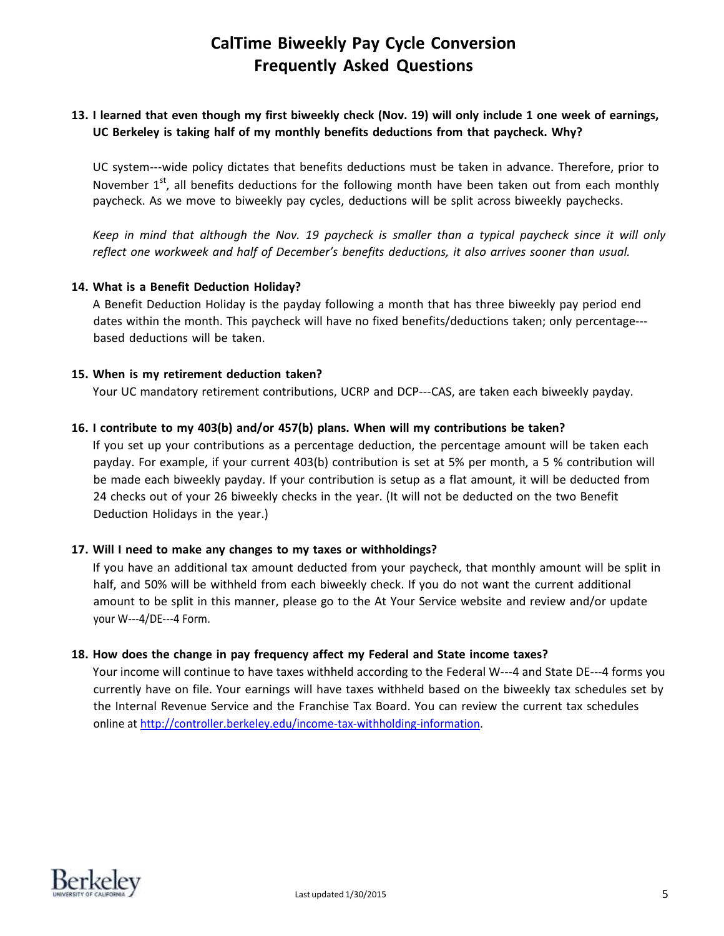### 13. I learned that even though my first biweekly check (Nov. 19) will only include 1 one week of earnings, **UC Berkeley is taking half of my monthly benefits deductions from that paycheck. Why?**

UC system-wide policy dictates that benefits deductions must be taken in advance. Therefore, prior to November 1<sup>st</sup>, all benefits deductions for the following month have been taken out from each monthly paycheck. As we move to biweekly pay cycles, deductions will be split across biweekly paychecks.

Keep in mind that although the Nov. 19 paycheck is smaller than a typical paycheck since it will only *reflect one workweek and half of December's benefits deductions, it also arrives sooner than usual.*

#### **14. What is a Benefit Deduction Holiday?**

A Benefit Deduction Holiday is the payday following a month that has three biweekly pay period end dates within the month. This paycheck will have no fixed benefits/deductions taken; only percentage based deductions will be taken.

#### **15. When is my retirement deduction taken?**

Your UC mandatory retirement contributions, UCRP and DCP---CAS, are taken each biweekly payday.

#### **16. I contribute to my 403(b) and/or 457(b) plans. When will my contributions be taken?**

If you set up your contributions as a percentage deduction, the percentage amount will be taken each payday. For example, if your current 403(b) contribution is set at 5% per month, a 5 % contribution will be made each biweekly payday. If your contribution is setup as a flat amount, it will be deducted from 24 checks out of your 26 biweekly checks in the year. (It will not be deducted on the two Benefit Deduction Holidays in the year.)

#### **17. Will I need to make any changes to my taxes or withholdings?**

If you have an additional tax amount deducted from your paycheck, that monthly amount will be split in half, and 50% will be withheld from each biweekly check. If you do not want the current additional amount to be split in this manner, please go to the At Your Service website and review and/or update your W---4/DE---4 Form.

#### **18. How does the change in pay frequency affect my Federal and State income taxes?**

Your income will continue to have taxes withheld according to the Federal W---4 and State DE---4 forms you currently have on file. Your earnings will have taxes withheld based on the biweekly tax schedules set by the Internal Revenue Service and the Franchise Tax Board. You can review the current tax schedules online a[t http://controller.berkeley.edu/income-tax-withholding-information.](http://controller.berkeley.edu/income-tax-withholding-information)